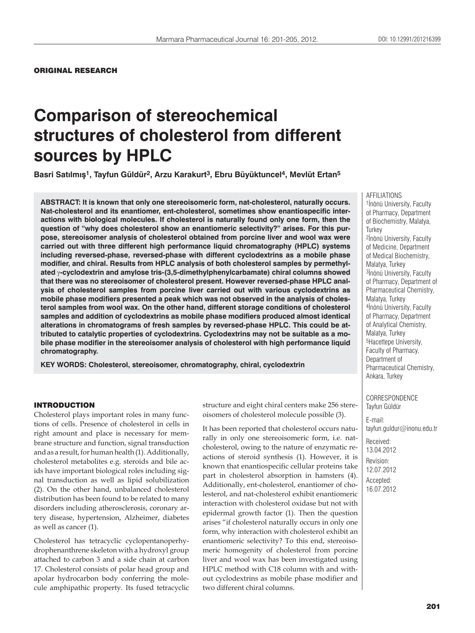# **Comparison of stereochemical structures of cholesterol from different sources by HPLC**

**Basri Satılmış1, Tayfun Güldür2, Arzu Karakurt3, Ebru Büyüktuncel4, Mevlüt Ertan5**

**ABSTRACT: It is known that only one stereoisomeric form, nat-cholesterol, naturally occurs. Nat-cholesterol and its enantiomer, ent-cholesterol, sometimes show enantiospecific interactions with biological molecules. If cholesterol is naturally found only one form, then the question of "why does cholesterol show an enantiomeric selectivity?" arises. For this purpose, stereoisomer analysis of cholesterol obtained from porcine liver and wool wax were carried out with three different high performance liquid chromatography (HPLC) systems including reversed-phase, reversed-phase with different cyclodextrins as a mobile phase modifier, and chiral. Results from HPLC analysis of both cholesterol samples by permethylated-cyclodextrin and amylose tris-(3,5-dimethylphenylcarbamate) chiral columns showed that there was no stereoisomer of cholesterol present. However reversed-phase HPLC analysis of cholesterol samples from porcine liver carried out with various cyclodextrins as mobile phase modifiers presented a peak which was not observed in the analysis of cholesterol samples from wool wax. On the other hand, different storage conditions of cholesterol samples and addition of cyclodextrins as mobile phase modifiers produced almost identical alterations in chromatograms of fresh samples by reversed-phase HPLC. This could be attributed to catalytic properties of cyclodextrins. Cyclodextrins may not be suitable as a mobile phase modifier in the stereoisomer analysis of cholesterol with high performance liquid chromatography.**

**KEY WORDS: Cholesterol, stereoisomer, chromatography, chiral, cyclodextrin**

#### INTRODUCTION

Cholesterol plays important roles in many functions of cells. Presence of cholesterol in cells in right amount and place is necessary for membrane structure and function, signal transduction and as a result, for human health (1). Additionally, cholesterol metabolites e.g. steroids and bile acids have important biological roles including signal transduction as well as lipid solubilization (2). On the other hand, unbalanced cholesterol distribution has been found to be related to many disorders including atherosclerosis, coronary artery disease, hypertension, Alzheimer, diabetes as well as cancer (1).

Cholesterol has tetracyclic cyclopentanoperhydrophenanthrene skeleton with a hydroxyl group attached to carbon 3 and a side chain at carbon 17. Cholesterol consists of polar head group and apolar hydrocarbon body conferring the molecule amphipathic property. Its fused tetracyclic structure and eight chiral centers make 256 stereoisomers of cholesterol molecule possible (3).

It has been reported that cholesterol occurs naturally in only one stereoisomeric form, i.e. natcholesterol, owing to the nature of enzymatic reactions of steroid synthesis (1). However, it is known that enantiospecific cellular proteins take part in cholesterol absorption in hamsters (4). Additionally, ent-cholesterol, enantiomer of cholesterol, and nat-cholesterol exhibit enantiomeric interaction with cholesterol oxidase but not with epidermal growth factor (1). Then the question arises "if cholesterol naturally occurs in only one form, why interaction with cholesterol exhibit an enantiomeric selectivity? To this end, stereoisomeric homogenity of cholesterol from porcine liver and wool wax has been investigated using HPLC method with C18 column with and without cyclodextrins as mobile phase modifier and two different chiral columns.

#### AFFILIATIONS

1İnönü University, Faculty of Pharmacy, Department of Biochemistry, Malatya, **Turkey** 2İnönü University, Faculty of Medicine, Department of Medical Biochemistry, Malatya, Turkey 3İnönü University, Faculty of Pharmacy, Department of Pharmaceutical Chemistry, Malatya, Turkey 4İnönü University, Faculty of Pharmacy, Department of Analytical Chemistry, Malatya, Turkey 5Hacettepe University, Faculty of Pharmacy, Department of Pharmaceutical Chemistry, Ankara, Turkey

CORRESPONDENCE Tayfun Güldür

E-mail: tayfun.guldur@inonu.edu.tr

Received: 13.04.2012 Revision: 12.07.2012 Accepted: 16.07.2012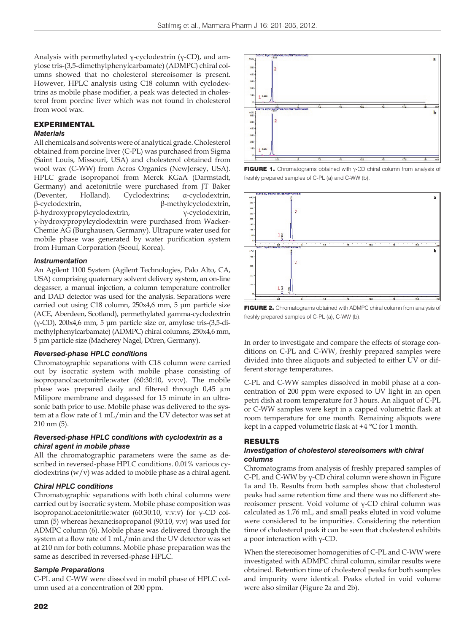Analysis with permethylated γ-cyclodextrin (γ-CD), and amylose tris-(3,5-dimethylphenylcarbamate) (ADMPC) chiral columns showed that no cholesterol stereoisomer is present. However, HPLC analysis using C18 column with cyclodextrins as mobile phase modifier, a peak was detected in cholesterol from porcine liver which was not found in cholesterol from wool wax.

## EXPERIMENTAL

## *Materials*

All chemicals and solvents were of analytical grade. Cholesterol obtained from porcine liver (C-PL) was purchased from Sigma (Saint Louis, Missouri, USA) and cholesterol obtained from wool wax (C-WW) from Acros Organics (NewJersey, USA). HPLC grade isopropanol from Merck KGaA (Darmstadt, Germany) and acetonitrile were purchased from JT Baker (Deventer, Holland). Cyclodextrins; α-cyclodextrin, β-cyclodextrin, β-methylcyclodextrin, β-hydroxypropylcyclodextrin, γ-cyclodextrin, γ-hydroxypropylcyclodextrin were purchased from Wacker-Chemie AG (Burghausen, Germany). Ultrapure water used for mobile phase was generated by water purification system from Human Corporation (Seoul, Korea).

#### *Instrumentation*

An Agilent 1100 System (Agilent Technologies, Palo Alto, CA, USA) comprising quaternary solvent delivery system, an on-line degasser, a manual injection, a column temperature controller and DAD detector was used for the analysis. Separations were carried out using C18 column, 250x4,6 mm, 5 μm particle size (ACE, Aberdeen, Scotland), permethylated gamma-cyclodextrin (γ-CD), 200x4,6 mm, 5 μm particle size or, amylose tris-(3,5-dimethylphenylcarbamate) (ADMPC) chiral columns, 250x4,6 mm, 5 μm particle size (Macherey Nagel, Düren, Germany).

#### *Reversed-phase HPLC conditions*

Chromatographic separations with C18 column were carried out by isocratic system with mobile phase consisting of isopropanol:acetonitrile:water (60:30:10, v:v:v). The mobile phase was prepared daily and filtered through 0,45 μm Milipore membrane and degassed for 15 minute in an ultrasonic bath prior to use. Mobile phase was delivered to the system at a flow rate of 1 mL/min and the UV detector was set at 210 nm (5).

#### *Reversed-phase HPLC conditions with cyclodextrin as a chiral agent in mobile phase*

All the chromatographic parameters were the same as described in reversed-phase HPLC conditions. 0.01% various cyclodextrins (w/v) was added to mobile phase as a chiral agent.

#### *Chiral HPLC conditions*

Chromatographic separations with both chiral columns were carried out by isocratic system. Mobile phase composition was isopropanol:acetonitrile:water (60:30:10, v:v:v) for γ-CD column (5) whereas hexane:isopropanol (90:10, v:v) was used for ADMPC column (6). Mobile phase was delivered through the system at a flow rate of 1 mL/min and the UV detector was set at 210 nm for both columns. Mobile phase preparation was the same as described in reversed-phase HPLC.

#### *Sample Preparations*

C-PL and C-WW were dissolved in mobil phase of HPLC column used at a concentration of 200 ppm.



**FIGURE 1.** Chromatograms obtained with y-CD chiral column from analysis of freshly prepared samples of C-PL (a) and C-WW (b).



FIGURE 2. Chromatograms obtained with ADMPC chiral column from analysis of freshly prepared samples of C-PL (a), C-WW (b).

In order to investigate and compare the effects of storage conditions on C-PL and C-WW, freshly prepared samples were divided into three aliquots and subjected to either UV or different storage temperatures.

C-PL and C-WW samples dissolved in mobil phase at a concentration of 200 ppm were exposed to UV light in an open petri dish at room temperature for 3 hours. An aliquot of C-PL or C-WW samples were kept in a capped volumetric flask at room temperature for one month. Remaining aliquots were kept in a capped volumetric flask at +4 °C for 1 month.

#### RESULTS

#### *Investigation of cholesterol stereoisomers with chiral columns*

Chromatograms from analysis of freshly prepared samples of C-PL and C-WW by γ-CD chiral column were shown in Figure 1a and 1b. Results from both samples show that cholesterol peaks had same retention time and there was no different stereoisomer present. Void volume of γ-CD chiral column was calculated as 1.76 mL, and small peaks eluted in void volume were considered to be impurities. Considering the retention time of cholesterol peak it can be seen that cholesterol exhibits a poor interaction with γ-CD.

When the stereoisomer homogenities of C-PL and C-WW were investigated with ADMPC chiral column, similar results were obtained. Retention time of cholesterol peaks for both samples and impurity were identical. Peaks eluted in void volume were also similar (Figure 2a and 2b).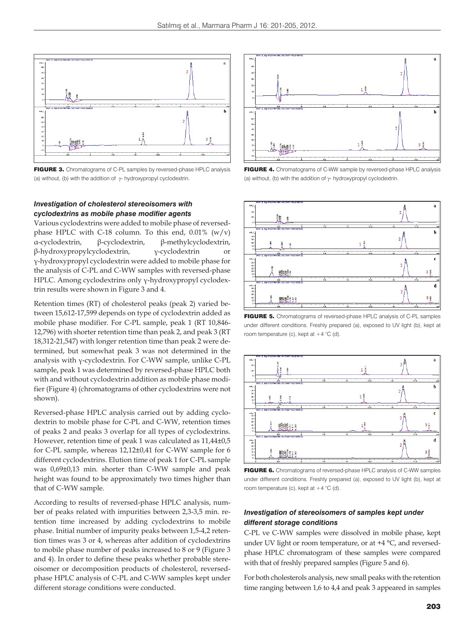

FIGURE 3. Chromatograms of C-PL samples by reversed-phase HPLC analysis (a) without, (b) with the addition of  $\gamma$ - hydroxypropyl cyclodextrin.

## *Investigation of cholesterol stereoisomers with cyclodextrins as mobile phase modifier agents*

Various cyclodextrins were added to mobile phase of reversedphase HPLC with C-18 column. To this end,  $0.01\%$  (w/v) α-cyclodextrin, β-cyclodextrin, β-methylcyclodextrin, β-hydroxypropylcyclodextrin, γ-cyclodextrin or γ-hydroxypropyl cyclodextrin were added to mobile phase for the analysis of C-PL and C-WW samples with reversed-phase HPLC. Among cyclodextrins only γ-hydroxypropyl cyclodextrin results were shown in Figure 3 and 4.

Retention times (RT) of cholesterol peaks (peak 2) varied between 15,612-17,599 depends on type of cyclodextrin added as mobile phase modifier. For C-PL sample, peak 1 (RT 10,846- 12,796) with shorter retention time than peak 2, and peak 3 (RT 18,312-21,547) with longer retention time than peak 2 were determined, but somewhat peak 3 was not determined in the analysis with γ-cyclodextrin. For C-WW sample, unlike C-PL sample, peak 1 was determined by reversed-phase HPLC both with and without cyclodextrin addition as mobile phase modifier (Figure 4) (chromatograms of other cyclodextrins were not shown).

Reversed-phase HPLC analysis carried out by adding cyclodextrin to mobile phase for C-PL and C-WW, retention times of peaks 2 and peaks 3 overlap for all types of cyclodextrins. However, retention time of peak 1 was calculated as 11,44±0,5 for C-PL sample, whereas 12,12±0,41 for C-WW sample for 6 different cyclodextrins. Elution time of peak 1 for C-PL sample was 0,69±0,13 min. shorter than C-WW sample and peak height was found to be approximately two times higher than that of C-WW sample.

According to results of reversed-phase HPLC analysis, number of peaks related with impurities between 2,3-3,5 min. retention time increased by adding cyclodextrins to mobile phase. Initial number of impurity peaks between 1,5-4,2 retention times was 3 or 4, whereas after addition of cyclodextrins to mobile phase number of peaks increased to 8 or 9 (Figure 3 and 4). In order to define these peaks whether probable stereoisomer or decomposition products of cholesterol, reversedphase HPLC analysis of C-PL and C-WW samples kept under different storage conditions were conducted.



FIGURE 4. Chromatograms of C-WW sample by reversed-phase HPLC analysis (a) without, (b) with the addition of  $\gamma$ - hydroxypropyl cyclodextrin.



FIGURE 5. Chromatograms of reversed-phase HPLC analysis of C-PL samples under different conditions. Freshly prepared (a), exposed to UV light (b), kept at room temperature (c), kept at  $+4$  °C (d).



FIGURE 6. Chromatograms of reversed-phase HPLC analysis of C-WW samples under different conditions. Freshly prepared (a), exposed to UV light (b), kept at room temperature (c), kept at  $+4$  °C (d).

## *Investigation of stereoisomers of samples kept under different storage conditions*

C-PL ve C-WW samples were dissolved in mobile phase, kept under UV light or room temperature, or at +4 °C, and reversedphase HPLC chromatogram of these samples were compared with that of freshly prepared samples (Figure 5 and 6).

For both cholesterols analysis, new small peaks with the retention time ranging between 1,6 to 4,4 and peak 3 appeared in samples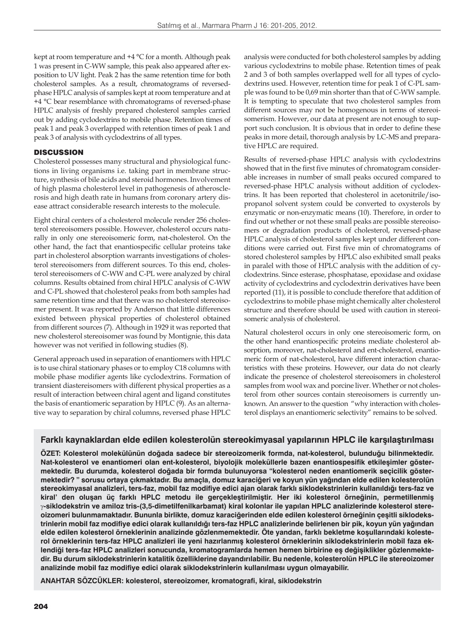kept at room temperature and +4 °C for a month. Although peak 1 was present in C-WW sample, this peak also appeared after exposition to UV light. Peak 2 has the same retention time for both cholesterol samples. As a result, chromatograms of reversedphase HPLC analysis of samples kept at room temperature and at +4 °C bear resemblance with chromatograms of reversed-phase HPLC analysis of freshly prepared cholesterol samples carried out by adding cyclodextrins to mobile phase. Retention times of peak 1 and peak 3 overlapped with retention times of peak 1 and peak 3 of analysis with cyclodextrins of all types.

## **DISCUSSION**

Cholesterol possesses many structural and physiological functions in living organisms i.e. taking part in membrane structure, synthesis of bile acids and steroid hormones. Involvement of high plasma cholesterol level in pathogenesis of atherosclerosis and high death rate in humans from coronary artery disease attract considerable research interests to the molecule.

Eight chiral centers of a cholesterol molecule render 256 cholesterol stereoisomers possible. However, cholesterol occurs naturally in only one stereoisomeric form, nat-cholesterol. On the other hand, the fact that enantiospecific cellular proteins take part in cholesterol absorption warrants investigations of cholesterol stereoisomers from different sources. To this end, cholesterol stereoisomers of C-WW and C-PL were analyzed by chiral columns. Results obtained from chiral HPLC analysis of C-WW and C-PL showed that cholesterol peaks from both samples had same retention time and that there was no cholesterol stereoisomer present. It was reported by Anderson that little differences existed between physical properties of cholesterol obtained from different sources (7). Although in 1929 it was reported that new cholesterol stereoisomer was found by Montignie, this data however was not verified in following studies (8).

General approach used in separation of enantiomers with HPLC is to use chiral stationary phases or to employ C18 columns with mobile phase modifier agents like cyclodextrins. Formation of transient diastereisomers with different physical properties as a result of interaction between chiral agent and ligand constitutes the basis of enantiomeric separation by HPLC (9). As an alternative way to separation by chiral columns, reversed phase HPLC analysis were conducted for both cholesterol samples by adding various cyclodextrins to mobile phase. Retention times of peak 2 and 3 of both samples overlapped well for all types of cyclodextrins used. However, retention time for peak 1 of C-PL sample was found to be 0,69 min shorter than that of C-WW sample. It is tempting to speculate that two cholesterol samples from different sources may not be homogenous in terms of stereoisomerism. However, our data at present are not enough to support such conclusion. It is obvious that in order to define these peaks in more detail, thorough analysis by LC-MS and preparative HPLC are required.

Results of reversed-phase HPLC analysis with cyclodextrins showed that in the first five minutes of chromatogram considerable increases in number of small peaks occured compared to reversed-phase HPLC analysis without addition of cyclodextrins. It has been reported that cholesterol in acetonitrile/isopropanol solvent system could be converted to oxysterols by enzymatic or non-enzymatic means (10). Therefore, in order to find out whether or not these small peaks are possible stereoisomers or degradation products of cholesterol, reversed-phase HPLC analysis of cholesterol samples kept under different conditions were carried out. First five min of chromatograms of stored cholesterol samples by HPLC also exhibited small peaks in paralel with those of HPLC analysis with the addition of cyclodextrins. Since esterase, phosphatase, epoxidase and oxidase activity of cyclodextrins and cyclodextrin derivatives have been reported (11), it is possible to conclude therefore that addition of cyclodextrins to mobile phase might chemically alter cholesterol structure and therefore should be used with caution in stereoisomeric analysis of cholesterol.

Natural cholesterol occurs in only one stereoisomeric form, on the other hand enantiospecific proteins mediate cholesterol absorption, moreover, nat-cholesterol and ent-cholesterol, enantiomeric form of nat-cholesterol, have different interaction characteristics with these proteins. However, our data do not clearly indicate the presence of cholesterol stereoisomers in cholesterol samples from wool wax and porcine liver. Whether or not cholesterol from other sources contain stereoisomers is currently unknown. An answer to the question "why interaction with cholesterol displays an enantiomeric selectivity" remains to be solved.

## **Farklı kaynaklardan elde edilen kolesterolün stereokimyasal yapılarının HPLC ile karşılaştırılması**

**ÖZET: Kolesterol molekülünün doğada sadece bir stereoizomerik formda, nat-kolesterol, bulunduğu bilinmektedir. Nat-kolesterol ve enantiomeri olan ent-kolesterol, biyolojik moleküllerle bazen enantiospesifik etkileşimler göstermektedir. Bu durumda, kolesterol doğada bir formda bulunuyorsa "kolesterol neden enantiomerik seçicilik göstermektedir? " sorusu ortaya çıkmaktadır. Bu amaçla, domuz karaciğeri ve koyun yün yağından elde edilen kolesterolün stereokimyasal analizleri, ters-faz, mobil faz modifiye edici ajan olarak farklı siklodekstrinlerin kullanıldığı ters-faz ve kiral' den oluşan üç farklı HPLC metodu ile gerçekleştirilmiştir. Her iki kolesterol örneğinin, permetillenmiş -siklodekstrin ve amiloz tris-(3,5-dimetilfenilkarbamat) kiral kolonlar ile yapılan HPLC analizlerinde kolesterol stereoizomeri bulunmamaktadır. Bununla birlikte, domuz karaciğerinden elde edilen kolesterol örneğinin çeşitli siklodekstrinlerin mobil faz modifiye edici olarak kullanıldığı ters-faz HPLC analizlerinde belirlenen bir pik, koyun yün yağından elde edilen kolesterol örneklerinin analizinde gözlenmemektedir. Öte yandan, farklı bekletme koşullarındaki kolesterol örneklerinin ters-faz HPLC analizleri ile yeni hazırlanmış kolesterol örneklerinin siklodekstrinlerin mobil faza eklendiği ters-faz HPLC analizleri sonucunda, kromatogramlarda hemen hemen birbirine eş değişiklikler gözlenmektedir. Bu durum siklodekstrinlerin katalitik özelliklerine dayandırılabilir. Bu nedenle, kolesterolün HPLC ile stereoizomer analizinde mobil faz modifiye edici olarak siklodekstrinlerin kullanılması uygun olmayabilir.**

**ANAHTAR SÖZCÜKLER: kolesterol, stereoizomer, kromatografi, kiral, siklodekstrin**